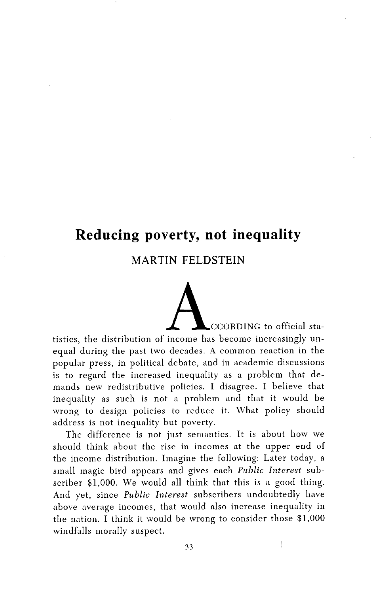# **Reducing poverty, not inequality**

M**A**R**TIN F**E**LDS**T**EIN**

ACCORDI**N**G to official statistics*,* the distribution of income has become increas**in**gly **un**equal during the past two decades. A common reaction in the popular press, in political debate, and in academic discussions is to regard the i**n**creased inequality as a problem that demands new redistributive policies. I disagree. I believe that inequality as such is not a problem and that it would be wrong to design policies to reduce it. What policy should address is not inequality but **p**overty.

The difference is not just semantics. It is about how we should think about the rise in incomes at the upper end of the income distribution. Imagine the following: Later today*,* a small magic bird appears and gives each *Public Interest* subscriber \$1,000. We would all think that this is a good thing. And yet, since *Public Interest* subscribers undoubtedly have above average incomes, that would also increase inequality in the nation. I think it would be wrong to consider those \$1,000 windfalls morally suspect.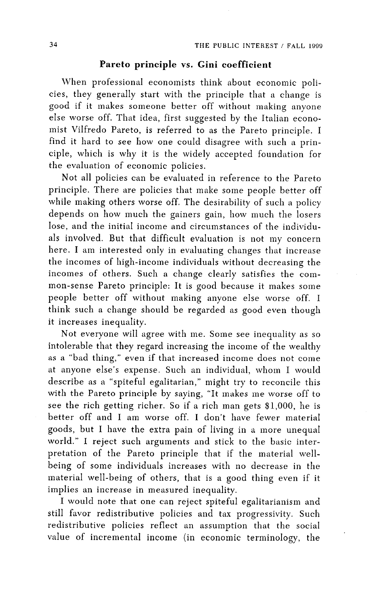#### **Pare**t**o principle vs.** G**ini co**e**fficient**

**When p**r**ofe**ss**iona**l **eco**n**omi**sts t**hin**k **abou**t **economi**c **policie**s**,** t**hey gene**r**a**l**ly** st**a**rt **wi**t**h** t**he p**r**inciple** t**ha**t a **change i**s **good if i**t m**a**k**e**s s**o**m**eone be**tt**e**r **o**ff **wi**t**hou**t m**a**k**ing anyo**n**e el**s**e wo**r**se o**ff**. Tha**t **idea,** first s**ugge**st**ed by** t**he I**t**alian econo**m**i**st **Vi**lfr**edo Pa**r**e**t**o, i**s r**e**f**e**rr**ed** t**o a**s t**he Pa**r**e**t**o p**r**incip**l**e. I** f**ind i**t **ha**r**d** t**o** s**ee l**\_**ow one could di**s**ag**r**ee wi**t**h** s**uch a p**r**inciple, which i**s w**hy i**t **i**s t**he** w**idely accep**t**ed** f**oun**d**a**t**ion** f**o**r th**e e**v**a**l**ua**t**ion o**f **econo**m**ic policies.**

**No**t **all po**l**icie**s **can be e**v**a**l**ua**t**e**d **in** r**efe**r**en**c**e** t**o** t**he Pa**r**e**t**o p**r**inciple. The**r**e are po**l**icie**s t**ha**t **ma**k**e** s**o**m**e peop**l**e be**tt**e**r **o**ff **while** m**a**k**ing o**t**he**rs **wo**rs**e o**ff**. The de**s**i**r**abili**t**y o**f s**uch a po**l**icy depend**s **on how** m**u**c**h** t**he gaine**rs **gain, how** m**uch** th**e lo**s**e**rs l**ose, and** t**he ini**t**ial inco**m**e and ci**rcumst**ance**s **o**f th**e in**d**i**v**i**d**u**als involved. But th**a**t difficu**l**t ev**a**lu**a**tion is not my concern here. I **am** interested only in evaluatin**g** chan**g**es that increase the incomes of hi**g**h-income individuals without decreasing the incomes of others. Such a chan**g**e clearl**y** satis**fi**es the common-sense P**a**reto principle: It is g**o**od because it makes some people better off without makin**g a**n**y**one els*e* worse off. I think such **a** chan**g**e should be re**g**arded **a**s **g**ood even thou**g**h it increases inequalit**y**.

Not ever**y**one will **agr**ee with me. Some see inequalit**y** as so intoler**a**ble th**a**t the**y** re**g**ard increasin**g** the income of the wealth**y** as a "bad thin**g**," even if that incre**a**s**e**d income does not come at an**y**one else's expense. Such an individu**a**l, whom I would d**e**scribe as **a** "spiteful e**g**alitarian," might tr**y** to reconcile this with the Pareto p**r**inciple b**y** sa**y**in**g**, "It makes me **w**orse off to see the rich **g**ettin**g** richer. So if a rich m**a**n gets \$1,000, he is better off and I **a**m worse off. I don't have fewer materi**a**l goods, but I have the extra pain of living in a more unequal wo**r**ld." I reject **s**uch arguments and stick to the basic interp**r**etation of the Pareto principle that if the material wellbein**g** of some individuals increases with no decrease in the material well-bein**g** of others, that is a **g**ood thin**g** even if it implies an inc**r**ease in mea**s**ured inequ**a**lit**y**.

I would n**o**te that one c**a**n reject spiteful egalitarianism and still favor redistributive policies and tax progressivit**y**. Such redist**r**ibutive policies reflect an assumption that the social value of increment**a**l income (in economic terminolog**y**, the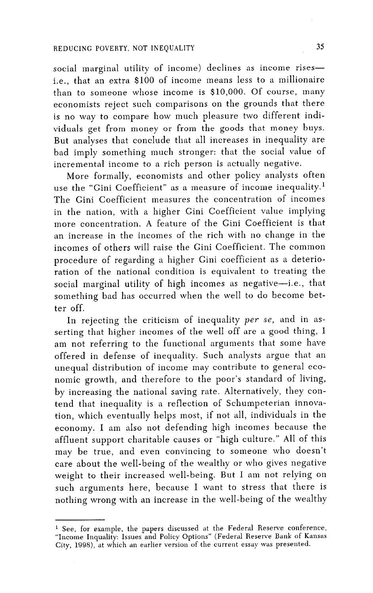social marginal utility of income) declines as income risesi.e., that an extra \$100 of income means less to a millionaire than to someone whose income is \$10,000. Of course, many economists reject such comparisons on the grounds that there is no way to compare how much pleasure two different individuals get from money or from the goods that money buys. But analyses that conclude that all increases in inequality are bad imply something much stronger: that the social value of incremental income to a rich person is actually negative.

More formally, economists and other policy analysts often use the "Gini Coefficient" as a measure of income inequality.<sup>1</sup> The Gini Coefficient measures the concentration of incomes in the nation, with a higher Gini Coefficient *v*alue implying more concentration. A feature of the Gini Coefficient is that an increase in the incomes of the rich with no change in the incomes of others will raise the Gini Coefficient. The common procedure of regarding a higher Gini coefficient as a deterioration of the national condition is equivalent to treating the social marginal utility of high incomes as negative-i.e., that something bad has occurred when the well to do become better off.

In rejecting the criticism of inequality *per se,* and in asserting that higher incomes of the well off are a good thing, I am not referring to the functional arguments that some have offered in defense of inequality. Such analysts argue that an unequal distribution of income may contribute to general economic growth*,* and therefore to the poor's standard of living*,* by increasing the national saving rate. Alternatively, they contend that inequality is a reflection of Schumpeterian innovation*,* which eventually helps most, if not all, individuals in the economy. I am also not defending high incomes because the affluent support charitable causes or "high culture." All of this may be true, and even convincing to someone who doesn't care about the well-being of the wealthy or who gives negative weight to their increased well-being. But I am not relying on such arguments here, because I want to stress that there is nothing wrong with an increase in the well-being of the wealthy

i See, for *e*xample, the papers discussed at the Federal Reserve c**o**nference, "Income Inquality: Issues and Policy Options" (Federal Reserve Bank of Kansas City, 1998), at which an earlier version of the current essay was presented.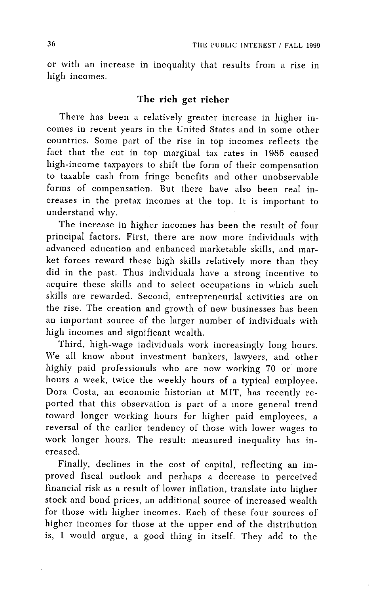or with an increase in inequality that results from a rise in high incomes.

## The ri**c**h get ri**c**her

There has been a relatively greater increase in higher incomes in recent years in the United States and in some other countries. Some part of the rise in top incomes reflects the fact that the cut in top marginal tax rates in 1986 caused high-income taxpayers to shift the form of their compensation to taxable cash from fringe benefits and other unobservable forms of compensation. But there have also been real increases in the pretax incomes at the top. It is important to understand why.

The increase in higher incomes has been the result of four principal factors. First, there are now more individuals with advanced education and enhanced marketable skills, and market forces reward these high skills relatively more than they did in the past. Thus individuals have a strong incentive to acquire these skills and to select occupations in which such skills are rewarded. Second, entrepreneurial activities are on the rise. The creation and growth of new businesses has been an important source of the larger number of individuals with high incomes and significant wealth.

Third, high-wage individuals work increasingly long hours. We all know about investment bankers, lawyers, and other highly paid professionals who are now working 70 or more hours a week, twice the weekly hours of a typical employee. Dora Costa, an economic historian at MIT, has recently reported that this observation is part of a more general trend toward longer working hours for higher paid employees, a reversal of the earlier tendency of those with lower wages to work longer hours. The result: measured inequality has increased.

Finally, declines in the cost of capital, reflecting an improved fiscal outlook and perhaps a decrease in perceived financial risk as a result of lower inflation, translate into higher stock and bond prices, an additional source of increased wealth for those with higher incomes. Each of these four sources of higher incomes for those at the upper end of the distribution is, I would argue, a good thing in itself. They add to the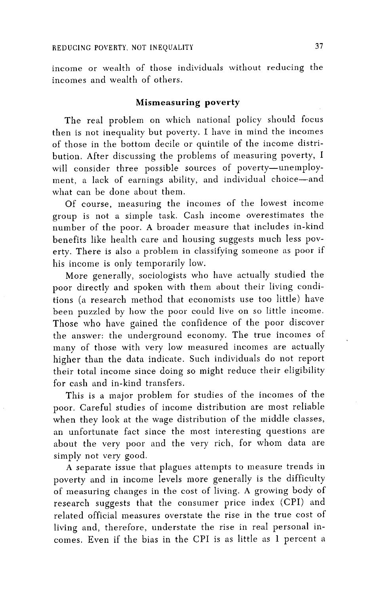income or wealth of those individuals without reducing the incomes and wealth of others.

# M**i**smeasur**i**ng poverty

The real problem on which national policy should focus then is not inequality but poverty. I have in mind the incomes of those in the bottom decile or quintile of the income distribution. After discussing the problems of measuring poverty, I will consider three possible sources of poverty-unemployment, a lack of earnings ability, and individual choice-and what can be done about them.

Of course, measuring the incomes of the lowest income group is not a simple task. Cash income overestimates the number of the poor. A broader measure that includes in-kind benefits like health care and housing suggests much less povert*y*. There is also a problem in classifying someone as poor if his income is only temporarily low.

More generally*,* sociologists who have actually studied the poor directly and spoken with them about their living conditions (a research method that economists use too little) have been puzzled by how the poor could live on so little income. Those who have gained the confidence of the poor discover the answer: the underground economy. The true incomes of many of those with very low measured incomes are actually higher than the data indicate. Such individuals do not report their total income since doing so might reduce their eligibility for cash and in-kind transfers.

This is a major problem for studies of the incomes of the poor. Careful studies of income distribution are most reliable when they look at the wage distribution of the middle classes, an unfortunate fact since the most interesting questions are about the very poor and the very rich, for whom data are simply not very good.

A separate issue that plagues attempts to measure trends in poverty and in income levels more generally is the difficulty of measuring changes in the cost of living. A growing body of research suggests that the consumer price index (CPI) and related official measures overstate the rise in the true cost of living and, therefore*,* understate the rise in real personal incomes. Even if the bias in the CPI is as little as 1 percent a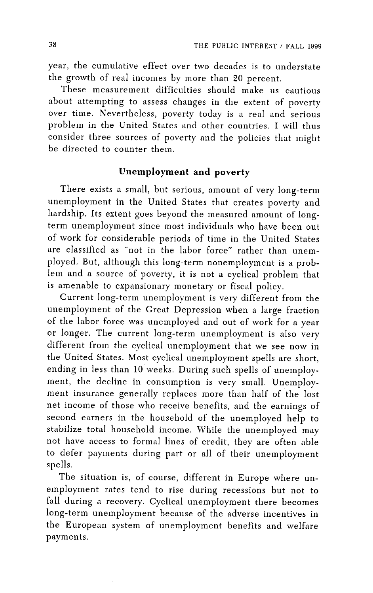year, the cumulative effect over two decades is to understate the growth of real incomes by more than 20 percent.

These measurement difficulties should make us cautious about attempting to assess changes in the extent of pover over time. Nevertheless, poverty today is a real and seriou problem in the United States and other countries. I will thus consider three sources of poverty and the policies that might be directed to counter them.

# Unemploym*e*nt and poverty

There exists a small, but serious, amount of very long-term unemployment in the United States that creates poverty and hardship. Its extent goes beyond the measured amount of longterm unemployment since most individuals who have been out of work for considerable periods of time in the United States are classified as "not in the labor force" rather than unemployed. But, although this long-term nonemployment is a problem and a source of poverty*,* it is not a cyclical problem that is amenable to expansionary monetary or fiscal policy.

Current long-term unemployment is very different from the unemployment of the Great Depression when a large fraction of the labor force was unemployed and out of work for a year or longer. The current long-term unemployment is also very different from the cyclical unemployment that we see now in the United States. Most cyclical unemployment spells are short, ending in less than 10 weeks. During such spells of unemployment, the decline in consumption is very small. Unemployment insurance generally replaces more than half of the lost net income of those who receive benefits*,* and the earnings of second earners in the household of the unemployed help to stabilize total household income. While the unemployed may not have access to formal lines of credit, they are often able to defer payments during part or all of their unempl**o**yment spells.

The situation is, of course*,* different in Europe where unemployment rates tend to rise during recessions but not to fall during a recovery. Cyclical unemployment there becomes long-term unemployment because of the adverse incentives in the European system of unemployment benefits and welfare payments.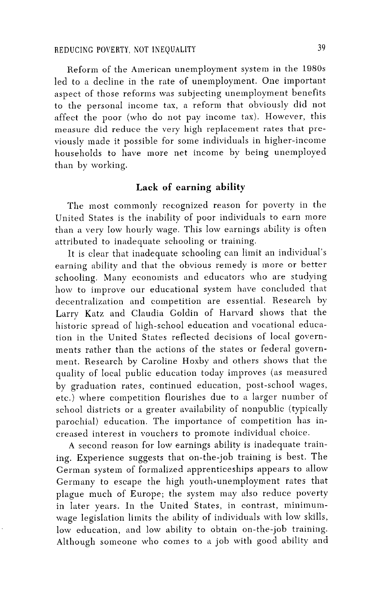# REDUCING POVERTY, NOT INEQUALITY 39

Reform of the American unemployment system in the 1980s led to a decline in the rate of unemployment. *O*ne important aspect of those reforms was subjecting unemployment benefits to the personal income tax, a reform that obviously did not affect the poor (who do not pay income tax). However*,* this measure did reduce the very high replacement rates that previously made it possible for some individuals in higher-income households to have more net income by being unemployed than by working.

# Lack of earning ability

The most commonly recognized reason for poverty in the United States is the inability of poor individuals to earn more than a very low hourly wage. This low earnings ability is often attributed to inadequate schooling or training.

It is clear that inadequate schooling can limit an individual's earning ability and that the obvious remedy is more or better schooling. Many economists and educators who are studying how to improve our educational system have concluded that decentralization and competition are essential. Research by Larry Katz and Claudia Goldin of Harvard shows that the historic spread of high-school education and vocational education in the United States reflected decisions of local governments rather than the actions of the states or federal government. Research by Car**o**line Hoxby and others shows that the qualit*y* of local public education today improves (as measured by graduation rates, continued education, post-school wages, etc.) where competition flourishes due to a larger number of school districts or a greater availability of nonpublic (typically parochial) education. The importance of competition has increased interest in vouchers to promote individual choice.

A second reason for low earnings ability is inadequate training. Experience suggests that on-the-job training is best. The German system of formalized apprenticeships appears to allow Germany to escape the high youth-unemployment rates that plague much of Europe; the system may also reduce poverty in later years. In the United States, in contrast, minimumwage legislation limits the ability of individuals with low skills, low education, and low ability to obtain on-the-job training. Although someone who comes to a job with good ability and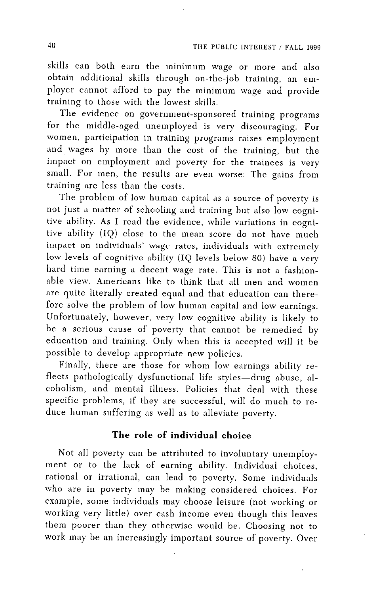skills can both earn the minimum wage or m**o**re and als**o o**btain additional skills thr**o**ugh **o**n-the-job training, an employer cann**o**t afford to pay the minimum wage and provide training t**o** th**o**se with the lowest skills.

The evidence **o**n g**o**vernment-sp**o**nsored training pr**o**grams f**o**r the middle-aged unempl**o**yed is very dis*c*ouraging. F**o**r women, participati**o**n in training pr**o**grams raises employment and wages by m**o**re than the c**o**st **o**f the training, but the impact **o**n empl**o**yment and poverty for the trainees is very small. F**o**r men, the results are even worse: The gains from training are less than the c**o**sts.

The problem of l**o**w human capital a*s* a s**o**urce of poverty is not just a matter of scho**o**ling and training but als**o** l**o**w cognitive ability. As I read the evidence, while variati**o**ns in cognitive ability (IQ) cl**o**se to the mean score do not have much impact **o**n individuals*'* wage rates, individuals with extremely l**o**w levels of c**o**gnitive ability (IQ levels bel**o**w 8**0**) have a very hard time earning a decent wage rate. This is n**o**t a fashi**o**nable view. Americans like to think that all men and w**o**men are quite literally created equal and that educati**o**n can therefore s**o**lve the pr**o**blem **o**f l**o**w human capital and low earnings. Unf**o**rtunately, however, very l**o**w cognitive ability is likely t**o** be a seri**o**u*s* cause of p**o**verty that cann**o**t be remedied by education and training. *O*nly when this i*s* a*c*cepted will **i**t be possible t**o** develop appr**o**priate new policies.

Finally, there are th**o**se for wh**o**m l**o**w earnings ability reflects pathologically dysfunctional life styles-drug abuse, alcoholism, and mental illness. P**o**licies that deal with these specific problems, if they are successful*,* will d**o** much t**o** reduce human suffering as well as t**o** alleviate p**o**verty.

### **T**he **rol**e **o**f **i**nd**i**v**i**d**u**al **c**h**oic**e

Not all poverty can be attributed t**o** involuntary unempl**o**yment or to the lack **o**f earning ability. Individual choice*s*, rational **o**r irrational, can lead to p**o**verty. S**o**me individuals who are in p**o**verty may be making c**o**nsidered choices. F**o**r example, *s***o**me individuals may choose leisure (n**o**t working or w**o**rking very little) over cash inc**o**me even though this leaves them po**o**rer than they **o**therwise w**o**uld be. Ch**oo***s*ing n**o**t to work may be an increasingly imp**o**rtant s**o**urce **o**f p**o**verty. Over